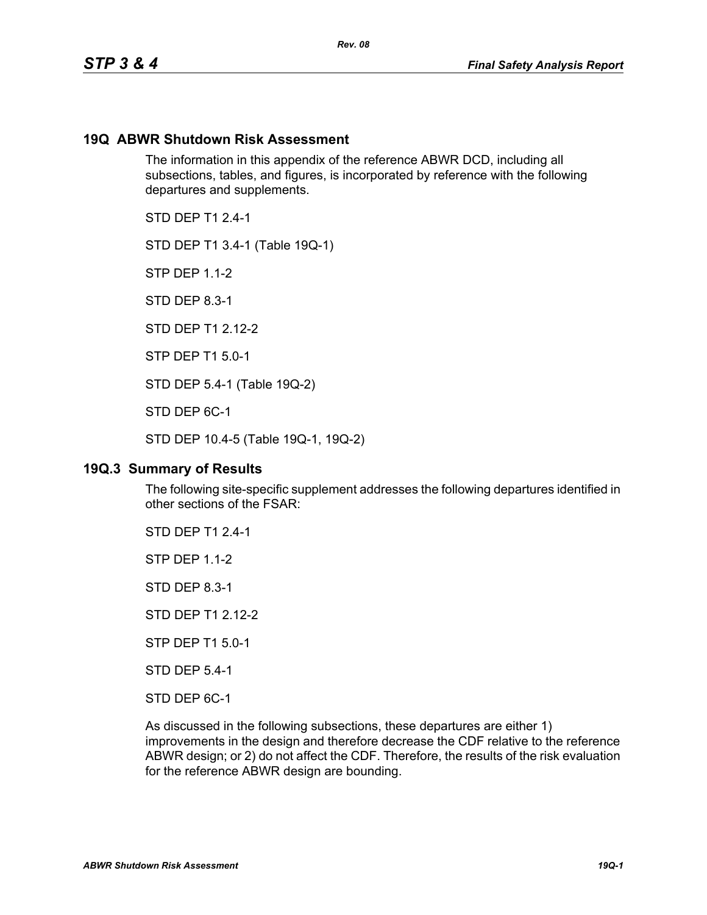## **19Q ABWR Shutdown Risk Assessment**

The information in this appendix of the reference ABWR DCD, including all subsections, tables, and figures, is incorporated by reference with the following departures and supplements.

*Rev. 08*

STD DFP T1 2 4-1

STD DEP T1 3.4-1 (Table 19Q-1)

STP DEP 1.1-2

STD DEP 8.3-1

STD DFP T1 2 12-2

STP DEP T1 5.0-1

STD DEP 5.4-1 (Table 19Q-2)

STD DEP 6C-1

STD DEP 10.4-5 (Table 19Q-1, 19Q-2)

#### **19Q.3 Summary of Results**

The following site-specific supplement addresses the following departures identified in other sections of the FSAR:

STD DEP T1 2.4-1

STP DEP 1.1-2

STD DEP 8.3-1

STD DEP T1 2.12-2

STP DEP T1 5.0-1

STD DEP 5.4-1

STD DEP 6C-1

As discussed in the following subsections, these departures are either 1) improvements in the design and therefore decrease the CDF relative to the reference ABWR design; or 2) do not affect the CDF. Therefore, the results of the risk evaluation for the reference ABWR design are bounding.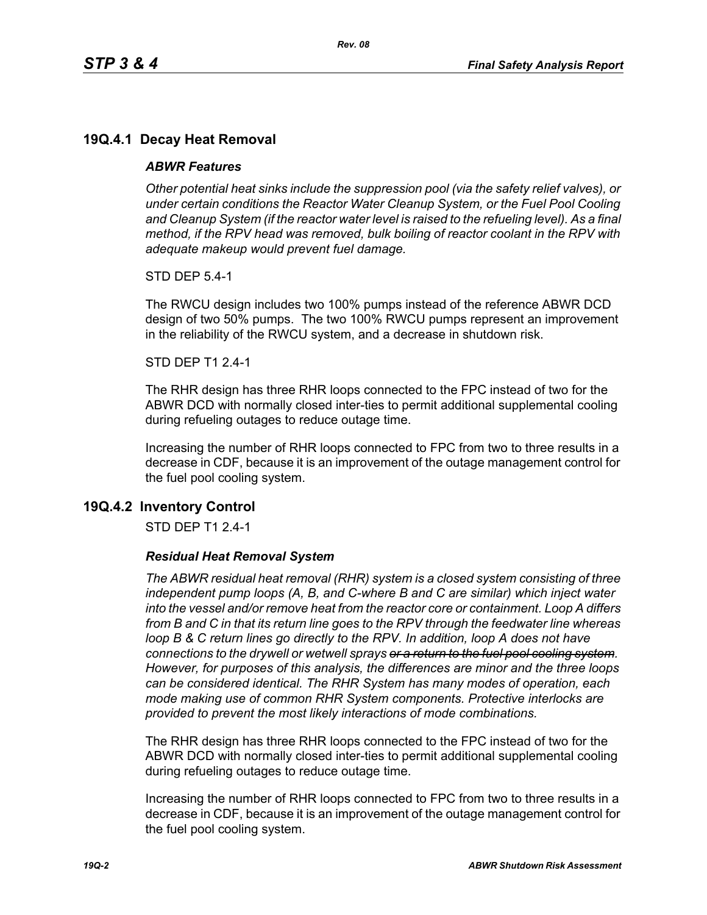# **19Q.4.1 Decay Heat Removal**

#### *ABWR Features*

*Other potential heat sinks include the suppression pool (via the safety relief valves), or under certain conditions the Reactor Water Cleanup System, or the Fuel Pool Cooling*  and Cleanup System (if the reactor water level is raised to the refueling level). As a final *method, if the RPV head was removed, bulk boiling of reactor coolant in the RPV with adequate makeup would prevent fuel damage.*

STD DEP 5.4-1

The RWCU design includes two 100% pumps instead of the reference ABWR DCD design of two 50% pumps. The two 100% RWCU pumps represent an improvement in the reliability of the RWCU system, and a decrease in shutdown risk.

#### STD DEP T1 2.4-1

The RHR design has three RHR loops connected to the FPC instead of two for the ABWR DCD with normally closed inter-ties to permit additional supplemental cooling during refueling outages to reduce outage time.

Increasing the number of RHR loops connected to FPC from two to three results in a decrease in CDF, because it is an improvement of the outage management control for the fuel pool cooling system.

## **19Q.4.2 Inventory Control**

STD DEP T1 2.4-1

#### *Residual Heat Removal System*

*The ABWR residual heat removal (RHR) system is a closed system consisting of three independent pump loops (A, B, and C-where B and C are similar) which inject water into the vessel and/or remove heat from the reactor core or containment. Loop A differs from B and C in that its return line goes to the RPV through the feedwater line whereas loop B & C return lines go directly to the RPV. In addition, loop A does not have connections to the drywell or wetwell sprays or a return to the fuel pool cooling system. However, for purposes of this analysis, the differences are minor and the three loops can be considered identical. The RHR System has many modes of operation, each mode making use of common RHR System components. Protective interlocks are provided to prevent the most likely interactions of mode combinations.*

The RHR design has three RHR loops connected to the FPC instead of two for the ABWR DCD with normally closed inter-ties to permit additional supplemental cooling during refueling outages to reduce outage time.

Increasing the number of RHR loops connected to FPC from two to three results in a decrease in CDF, because it is an improvement of the outage management control for the fuel pool cooling system.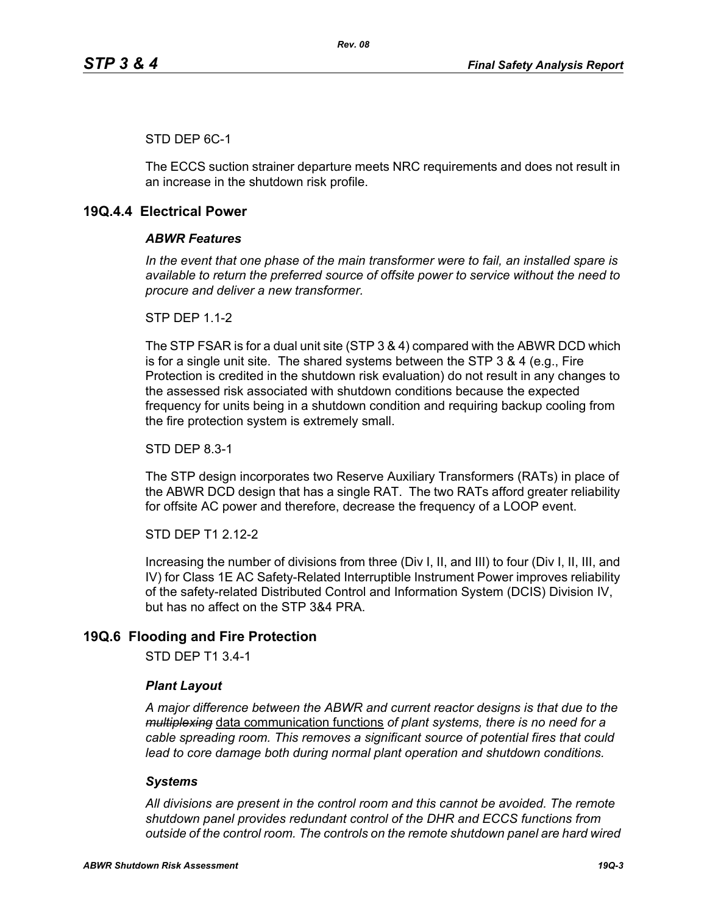## STD DEP 6C-1

The ECCS suction strainer departure meets NRC requirements and does not result in an increase in the shutdown risk profile.

## **19Q.4.4 Electrical Power**

#### *ABWR Features*

*In the event that one phase of the main transformer were to fail, an installed spare is available to return the preferred source of offsite power to service without the need to procure and deliver a new transformer.*

**STP DFP 1 1-2** 

The STP FSAR is for a dual unit site (STP 3 & 4) compared with the ABWR DCD which is for a single unit site. The shared systems between the STP 3 & 4 (e.g., Fire Protection is credited in the shutdown risk evaluation) do not result in any changes to the assessed risk associated with shutdown conditions because the expected frequency for units being in a shutdown condition and requiring backup cooling from the fire protection system is extremely small.

STD DEP 8.3-1

The STP design incorporates two Reserve Auxiliary Transformers (RATs) in place of the ABWR DCD design that has a single RAT. The two RATs afford greater reliability for offsite AC power and therefore, decrease the frequency of a LOOP event.

STD DEP T1 2.12-2

Increasing the number of divisions from three (Div I, II, and III) to four (Div I, II, III, and IV) for Class 1E AC Safety-Related Interruptible Instrument Power improves reliability of the safety-related Distributed Control and Information System (DCIS) Division IV, but has no affect on the STP 3&4 PRA.

# **19Q.6 Flooding and Fire Protection**

STD DEP T1 3.4-1

#### *Plant Layout*

*A major difference between the ABWR and current reactor designs is that due to the multiplexing* data communication functions *of plant systems, there is no need for a cable spreading room. This removes a significant source of potential fires that could lead to core damage both during normal plant operation and shutdown conditions.*

#### *Systems*

*All divisions are present in the control room and this cannot be avoided. The remote shutdown panel provides redundant control of the DHR and ECCS functions from outside of the control room. The controls on the remote shutdown panel are hard wired*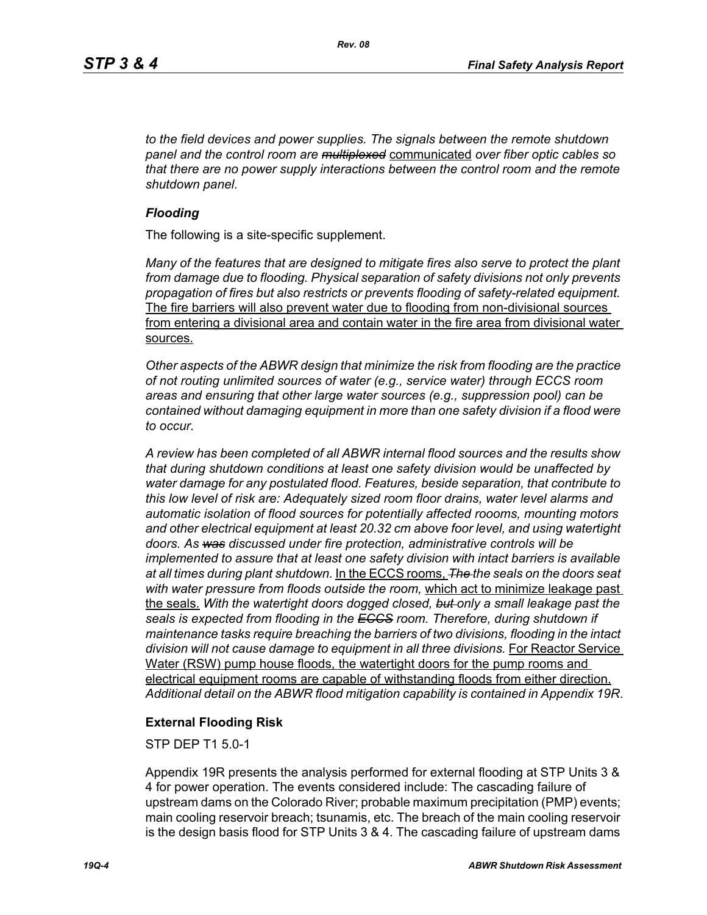*to the field devices and power supplies. The signals between the remote shutdown panel and the control room are multiplexed* communicated *over fiber optic cables so that there are no power supply interactions between the control room and the remote shutdown panel.*

#### *Flooding*

The following is a site-specific supplement.

*Many of the features that are designed to mitigate fires also serve to protect the plant from damage due to flooding. Physical separation of safety divisions not only prevents propagation of fires but also restricts or prevents flooding of safety-related equipment.*  The fire barriers will also prevent water due to flooding from non-divisional sources from entering a divisional area and contain water in the fire area from divisional water sources.

*Other aspects of the ABWR design that minimize the risk from flooding are the practice of not routing unlimited sources of water (e.g., service water) through ECCS room areas and ensuring that other large water sources (e.g., suppression pool) can be contained without damaging equipment in more than one safety division if a flood were to occur.*

*A review has been completed of all ABWR internal flood sources and the results show that during shutdown conditions at least one safety division would be unaffected by water damage for any postulated flood. Features, beside separation, that contribute to this low level of risk are: Adequately sized room floor drains, water level alarms and automatic isolation of flood sources for potentially affected roooms, mounting motors and other electrical equipment at least 20.32 cm above foor level, and using watertight doors. As was discussed under fire protection, administrative controls will be implemented to assure that at least one safety division with intact barriers is available at all times during plant shutdown.* In the ECCS rooms, *The the seals on the doors seat with water pressure from floods outside the room,* which act to minimize leakage past the seals. *With the watertight doors dogged closed, but only a small leakage past the seals is expected from flooding in the ECCS room. Therefore, during shutdown if maintenance tasks require breaching the barriers of two divisions, flooding in the intact*  division will not cause damage to equipment in all three divisions. For Reactor Service Water (RSW) pump house floods, the watertight doors for the pump rooms and electrical equipment rooms are capable of withstanding floods from either direction. *Additional detail on the ABWR flood mitigation capability is contained in Appendix 19R*.

## **External Flooding Risk**

STP DEP T1 5.0-1

Appendix 19R presents the analysis performed for external flooding at STP Units 3 & 4 for power operation. The events considered include: The cascading failure of upstream dams on the Colorado River; probable maximum precipitation (PMP) events; main cooling reservoir breach; tsunamis, etc. The breach of the main cooling reservoir is the design basis flood for STP Units 3 & 4. The cascading failure of upstream dams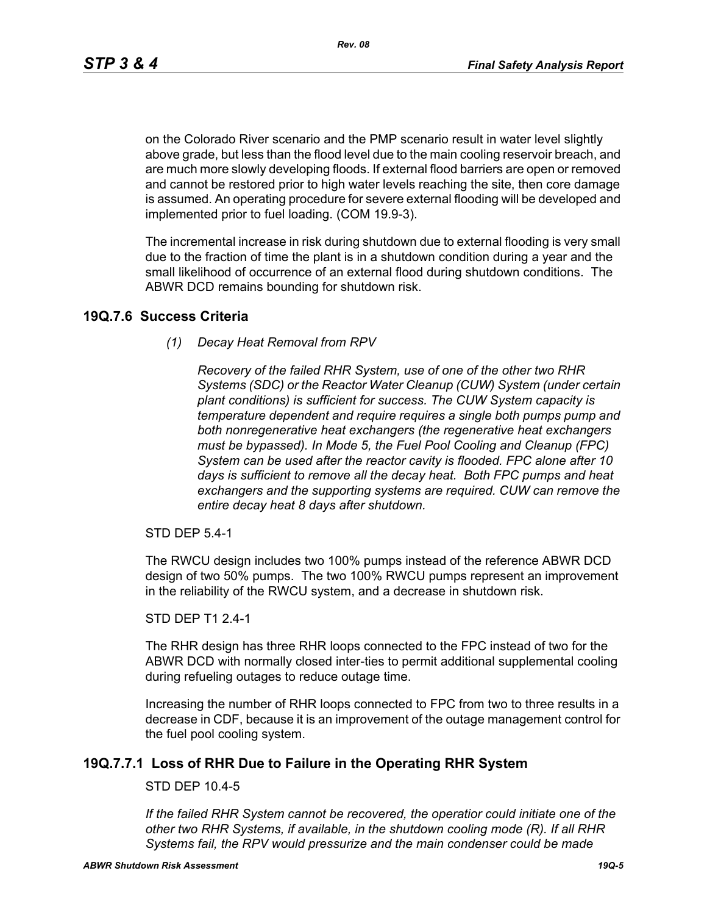*Rev. 08*

on the Colorado River scenario and the PMP scenario result in water level slightly above grade, but less than the flood level due to the main cooling reservoir breach, and are much more slowly developing floods. If external flood barriers are open or removed and cannot be restored prior to high water levels reaching the site, then core damage is assumed. An operating procedure for severe external flooding will be developed and implemented prior to fuel loading. (COM 19.9-3).

The incremental increase in risk during shutdown due to external flooding is very small due to the fraction of time the plant is in a shutdown condition during a year and the small likelihood of occurrence of an external flood during shutdown conditions. The ABWR DCD remains bounding for shutdown risk.

## **19Q.7.6 Success Criteria**

*(1) Decay Heat Removal from RPV*

*Recovery of the failed RHR System, use of one of the other two RHR Systems (SDC) or the Reactor Water Cleanup (CUW) System (under certain plant conditions) is sufficient for success. The CUW System capacity is temperature dependent and require requires a single both pumps pump and both nonregenerative heat exchangers (the regenerative heat exchangers must be bypassed). In Mode 5, the Fuel Pool Cooling and Cleanup (FPC) System can be used after the reactor cavity is flooded. FPC alone after 10 days is sufficient to remove all the decay heat. Both FPC pumps and heat exchangers and the supporting systems are required. CUW can remove the entire decay heat 8 days after shutdown.*

STD DEP 5.4-1

The RWCU design includes two 100% pumps instead of the reference ABWR DCD design of two 50% pumps. The two 100% RWCU pumps represent an improvement in the reliability of the RWCU system, and a decrease in shutdown risk.

#### STD DEP T1 2.4-1

The RHR design has three RHR loops connected to the FPC instead of two for the ABWR DCD with normally closed inter-ties to permit additional supplemental cooling during refueling outages to reduce outage time.

Increasing the number of RHR loops connected to FPC from two to three results in a decrease in CDF, because it is an improvement of the outage management control for the fuel pool cooling system.

# **19Q.7.7.1 Loss of RHR Due to Failure in the Operating RHR System**

## STD DEP 10.4-5

*If the failed RHR System cannot be recovered, the operatior could initiate one of the other two RHR Systems, if available, in the shutdown cooling mode (R). If all RHR Systems fail, the RPV would pressurize and the main condenser could be made*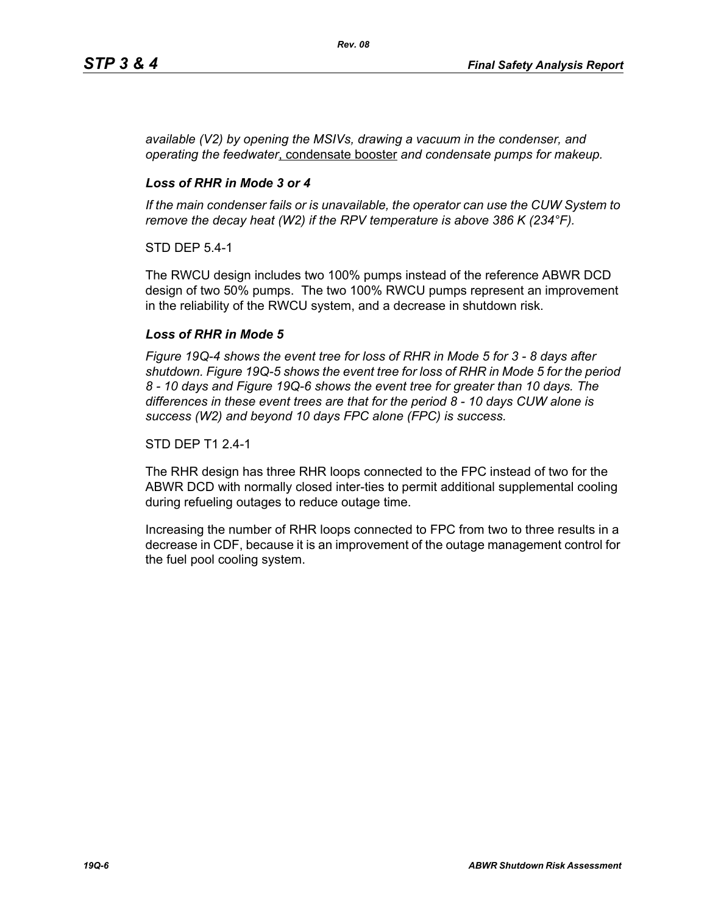*available (V2) by opening the MSIVs, drawing a vacuum in the condenser, and operating the feedwater*, condensate booster *and condensate pumps for makeup.*

## *Loss of RHR in Mode 3 or 4*

*If the main condenser fails or is unavailable, the operator can use the CUW System to remove the decay heat (W2) if the RPV temperature is above 386 K (234°F).*

STD DEP 5.4-1

The RWCU design includes two 100% pumps instead of the reference ABWR DCD design of two 50% pumps. The two 100% RWCU pumps represent an improvement in the reliability of the RWCU system, and a decrease in shutdown risk.

## *Loss of RHR in Mode 5*

*Figure 19Q-4 shows the event tree for loss of RHR in Mode 5 for 3 - 8 days after shutdown. Figure 19Q-5 shows the event tree for loss of RHR in Mode 5 for the period 8 - 10 days and Figure 19Q-6 shows the event tree for greater than 10 days. The differences in these event trees are that for the period 8 - 10 days CUW alone is success (W2) and beyond 10 days FPC alone (FPC) is success.*

#### STD DEP T1 2.4-1

The RHR design has three RHR loops connected to the FPC instead of two for the ABWR DCD with normally closed inter-ties to permit additional supplemental cooling during refueling outages to reduce outage time.

Increasing the number of RHR loops connected to FPC from two to three results in a decrease in CDF, because it is an improvement of the outage management control for the fuel pool cooling system.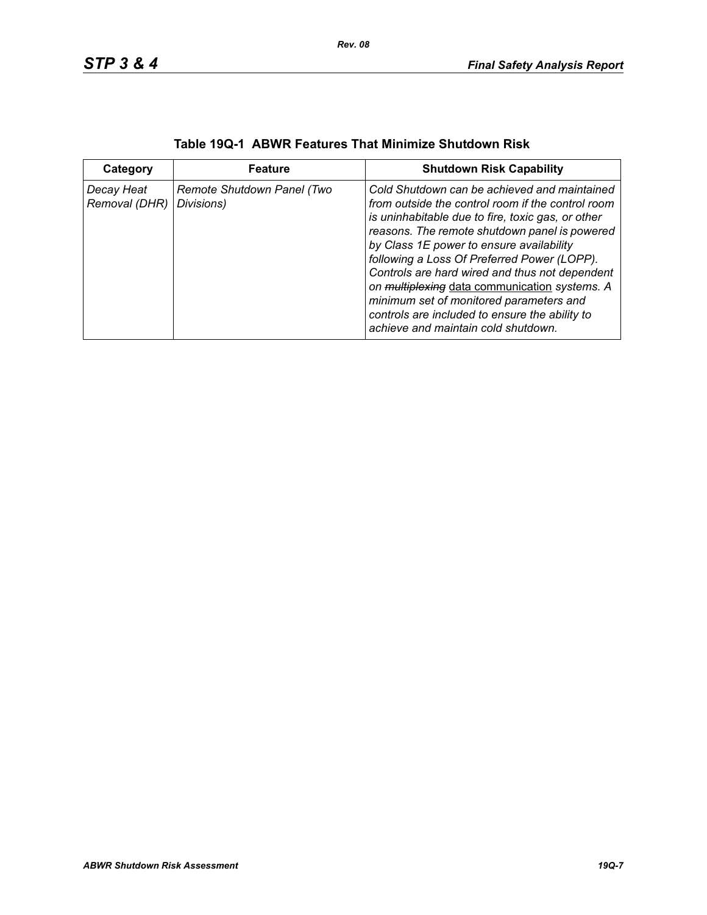| Category                    | <b>Feature</b>                           | <b>Shutdown Risk Capability</b>                                                                                                                                                                                                                                                                                                                                                                                                                                                                                                           |
|-----------------------------|------------------------------------------|-------------------------------------------------------------------------------------------------------------------------------------------------------------------------------------------------------------------------------------------------------------------------------------------------------------------------------------------------------------------------------------------------------------------------------------------------------------------------------------------------------------------------------------------|
| Decay Heat<br>Removal (DHR) | Remote Shutdown Panel (Two<br>Divisions) | Cold Shutdown can be achieved and maintained<br>from outside the control room if the control room<br>is uninhabitable due to fire, toxic gas, or other<br>reasons. The remote shutdown panel is powered<br>by Class 1E power to ensure availability<br>following a Loss Of Preferred Power (LOPP).<br>Controls are hard wired and thus not dependent<br>on multiplexing data communication systems. A<br>minimum set of monitored parameters and<br>controls are included to ensure the ability to<br>achieve and maintain cold shutdown. |

|  | Table 19Q-1 ABWR Features That Minimize Shutdown Risk |
|--|-------------------------------------------------------|
|--|-------------------------------------------------------|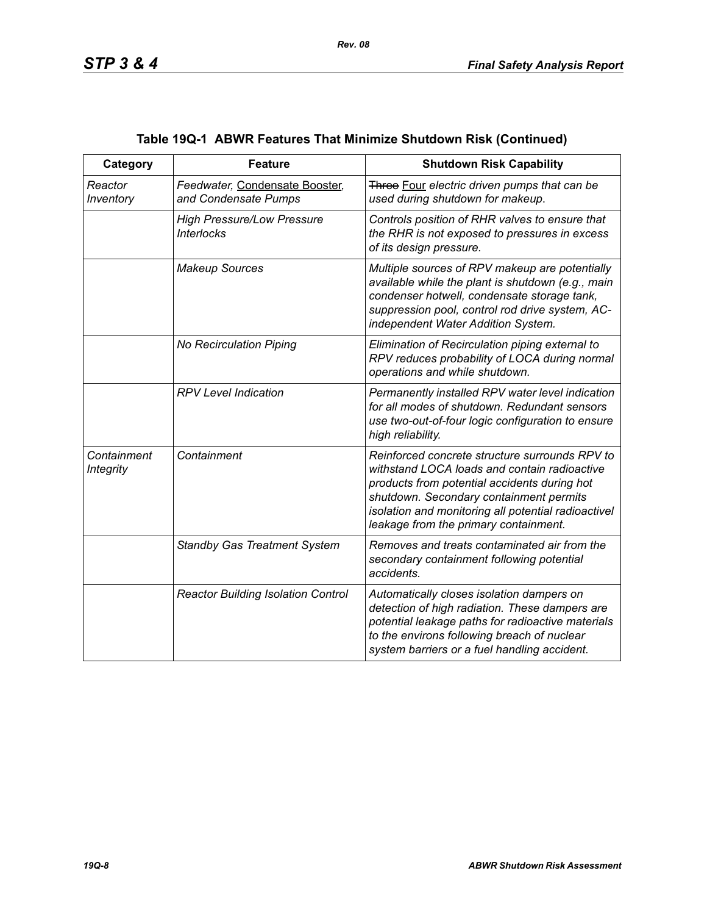| Category                        | <b>Feature</b>                                         | <b>Shutdown Risk Capability</b>                                                                                                                                                                                                                                                           |
|---------------------------------|--------------------------------------------------------|-------------------------------------------------------------------------------------------------------------------------------------------------------------------------------------------------------------------------------------------------------------------------------------------|
| Reactor<br>Inventory            | Feedwater, Condensate Booster,<br>and Condensate Pumps | Three Four electric driven pumps that can be<br>used during shutdown for makeup.                                                                                                                                                                                                          |
|                                 | <b>High Pressure/Low Pressure</b><br><b>Interlocks</b> | Controls position of RHR valves to ensure that<br>the RHR is not exposed to pressures in excess<br>of its design pressure.                                                                                                                                                                |
|                                 | <b>Makeup Sources</b>                                  | Multiple sources of RPV makeup are potentially<br>available while the plant is shutdown (e.g., main<br>condenser hotwell, condensate storage tank,<br>suppression pool, control rod drive system, AC-<br>independent Water Addition System.                                               |
|                                 | No Recirculation Piping                                | Elimination of Recirculation piping external to<br>RPV reduces probability of LOCA during normal<br>operations and while shutdown.                                                                                                                                                        |
|                                 | <b>RPV Level Indication</b>                            | Permanently installed RPV water level indication<br>for all modes of shutdown. Redundant sensors<br>use two-out-of-four logic configuration to ensure<br>high reliability.                                                                                                                |
| Containment<br><b>Integrity</b> | Containment                                            | Reinforced concrete structure surrounds RPV to<br>withstand LOCA loads and contain radioactive<br>products from potential accidents during hot<br>shutdown. Secondary containment permits<br>isolation and monitoring all potential radioactivel<br>leakage from the primary containment. |
|                                 | <b>Standby Gas Treatment System</b>                    | Removes and treats contaminated air from the<br>secondary containment following potential<br>accidents.                                                                                                                                                                                   |
|                                 | <b>Reactor Building Isolation Control</b>              | Automatically closes isolation dampers on<br>detection of high radiation. These dampers are<br>potential leakage paths for radioactive materials<br>to the environs following breach of nuclear<br>system barriers or a fuel handling accident.                                           |

# **Table 19Q-1 ABWR Features That Minimize Shutdown Risk (Continued)**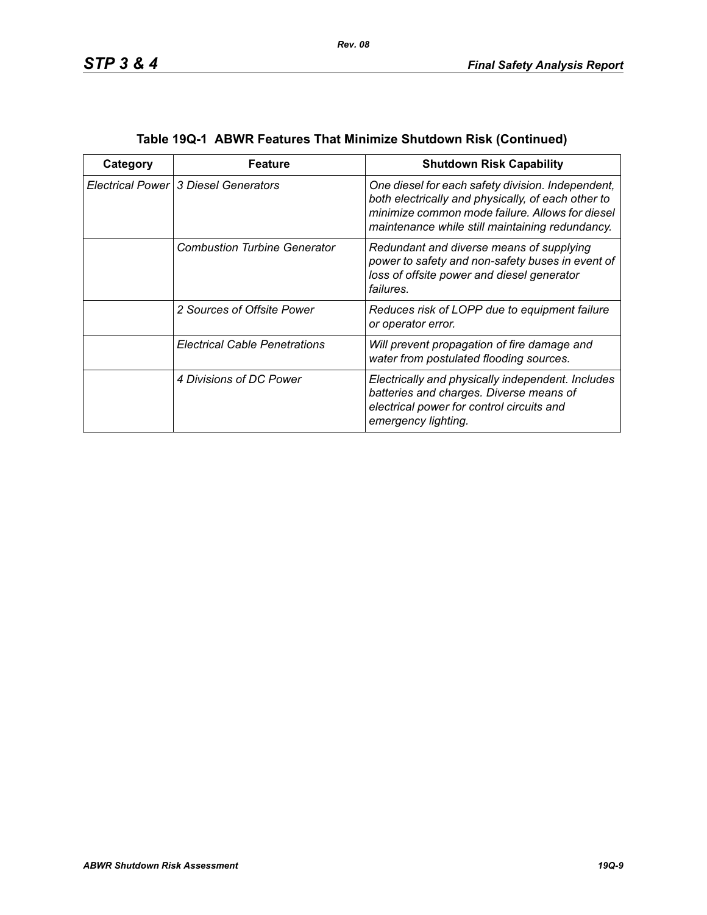| Category | Feature                              | <b>Shutdown Risk Capability</b>                                                                                                                                                                               |
|----------|--------------------------------------|---------------------------------------------------------------------------------------------------------------------------------------------------------------------------------------------------------------|
|          | Electrical Power 3 Diesel Generators | One diesel for each safety division. Independent,<br>both electrically and physically, of each other to<br>minimize common mode failure. Allows for diesel<br>maintenance while still maintaining redundancy. |
|          | <b>Combustion Turbine Generator</b>  | Redundant and diverse means of supplying<br>power to safety and non-safety buses in event of<br>loss of offsite power and diesel generator<br>failures.                                                       |
|          | 2 Sources of Offsite Power           | Reduces risk of LOPP due to equipment failure<br>or operator error.                                                                                                                                           |
|          | <b>Electrical Cable Penetrations</b> | Will prevent propagation of fire damage and<br>water from postulated flooding sources.                                                                                                                        |
|          | 4 Divisions of DC Power              | Electrically and physically independent. Includes<br>batteries and charges. Diverse means of<br>electrical power for control circuits and<br>emergency lighting.                                              |

| Table 19Q-1 ABWR Features That Minimize Shutdown Risk (Continued) |  |  |
|-------------------------------------------------------------------|--|--|
|                                                                   |  |  |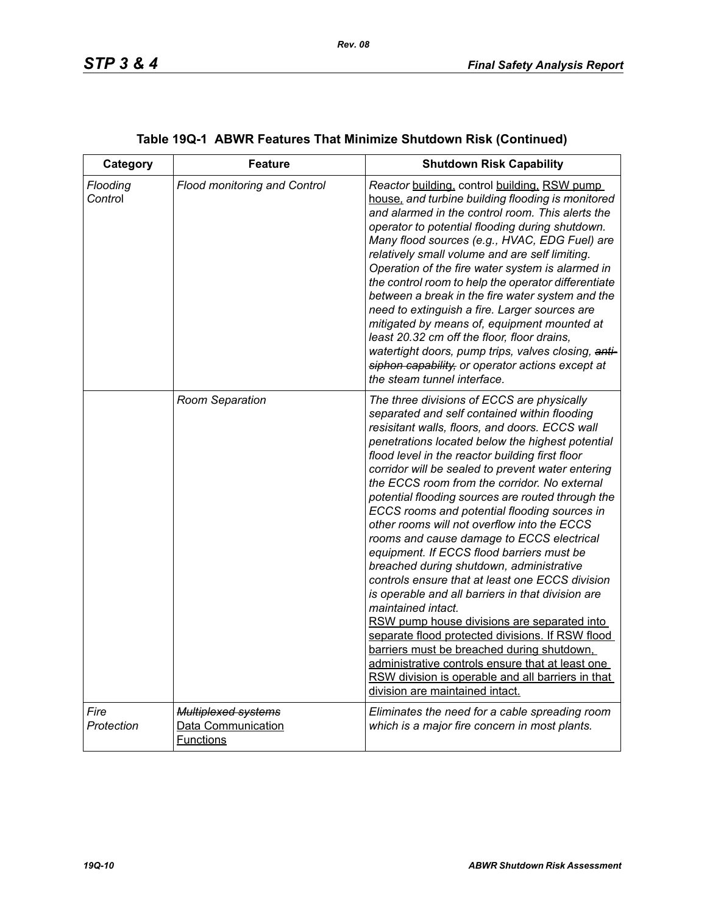| Category            | <b>Feature</b>                                                       | <b>Shutdown Risk Capability</b>                                                                                                                                                                                                                                                                                                                                                                                                                                                                                                                                                                                                                                                                                                                                                                                                                                                                                                                                                                                                                                               |
|---------------------|----------------------------------------------------------------------|-------------------------------------------------------------------------------------------------------------------------------------------------------------------------------------------------------------------------------------------------------------------------------------------------------------------------------------------------------------------------------------------------------------------------------------------------------------------------------------------------------------------------------------------------------------------------------------------------------------------------------------------------------------------------------------------------------------------------------------------------------------------------------------------------------------------------------------------------------------------------------------------------------------------------------------------------------------------------------------------------------------------------------------------------------------------------------|
| Flooding<br>Control | <b>Flood monitoring and Control</b>                                  | Reactor building, control building, RSW pump<br>house, and turbine building flooding is monitored<br>and alarmed in the control room. This alerts the<br>operator to potential flooding during shutdown.<br>Many flood sources (e.g., HVAC, EDG Fuel) are<br>relatively small volume and are self limiting.<br>Operation of the fire water system is alarmed in<br>the control room to help the operator differentiate<br>between a break in the fire water system and the<br>need to extinguish a fire. Larger sources are<br>mitigated by means of, equipment mounted at<br>least 20.32 cm off the floor, floor drains,<br>watertight doors, pump trips, valves closing, anti-<br>siphon capability, or operator actions except at<br>the steam tunnel interface.                                                                                                                                                                                                                                                                                                           |
|                     | Room Separation                                                      | The three divisions of ECCS are physically<br>separated and self contained within flooding<br>resisitant walls, floors, and doors. ECCS wall<br>penetrations located below the highest potential<br>flood level in the reactor building first floor<br>corridor will be sealed to prevent water entering<br>the ECCS room from the corridor. No external<br>potential flooding sources are routed through the<br>ECCS rooms and potential flooding sources in<br>other rooms will not overflow into the ECCS<br>rooms and cause damage to ECCS electrical<br>equipment. If ECCS flood barriers must be<br>breached during shutdown, administrative<br>controls ensure that at least one ECCS division<br>is operable and all barriers in that division are<br>maintained intact.<br>RSW pump house divisions are separated into<br>separate flood protected divisions. If RSW flood<br>barriers must be breached during shutdown,<br>administrative controls ensure that at least one<br>RSW division is operable and all barriers in that<br>division are maintained intact. |
| Fire<br>Protection  | <b>Multiplexed systems</b><br>Data Communication<br><b>Functions</b> | Eliminates the need for a cable spreading room<br>which is a major fire concern in most plants.                                                                                                                                                                                                                                                                                                                                                                                                                                                                                                                                                                                                                                                                                                                                                                                                                                                                                                                                                                               |

# **Table 19Q-1 ABWR Features That Minimize Shutdown Risk (Continued)**

*Rev. 08*